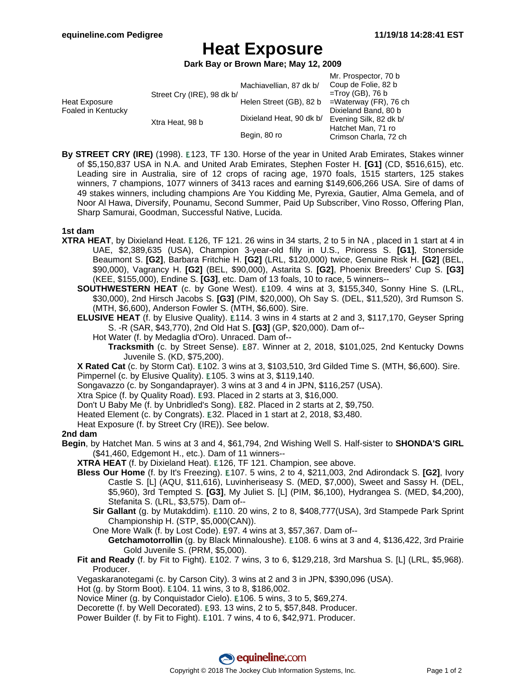## **Heat Exposure**

**Dark Bay or Brown Mare; May 12, 2009**

|                                     |                            |                          | Mr. Prospector, 70 b     |
|-------------------------------------|----------------------------|--------------------------|--------------------------|
| Heat Exposure<br>Foaled in Kentucky | Street Cry (IRE), 98 dk b/ | Machiavellian, 87 dk b/  | Coup de Folie, 82 b      |
|                                     |                            |                          | $=$ Troy (GB), 76 b      |
|                                     |                            | Helen Street (GB), 82 b  | $=$ Waterway (FR), 76 ch |
|                                     |                            |                          | Dixieland Band, 80 b     |
|                                     | Xtra Heat, 98 b            | Dixieland Heat, 90 dk b/ | Evening Silk, 82 dk b/   |
|                                     |                            |                          | Hatchet Man, 71 ro       |
|                                     |                            | Begin, 80 ro             | Crimson Charla, 72 ch    |

**By STREET CRY (IRE)** (1998). **E123, TF 130. Horse of the year in United Arab Emirates, Stakes winner** of \$5,150,837 USA in N.A. and United Arab Emirates, Stephen Foster H. **[G1]** (CD, \$516,615), etc. Leading sire in Australia, sire of 12 crops of racing age, 1970 foals, 1515 starters, 125 stakes winners, 7 champions, 1077 winners of 3413 races and earning \$149,606,266 USA. Sire of dams of 49 stakes winners, including champions Are You Kidding Me, Pyrexia, Gautier, Alma Gemela, and of Noor Al Hawa, Diversify, Pounamu, Second Summer, Paid Up Subscriber, Vino Rosso, Offering Plan, Sharp Samurai, Goodman, Successful Native, Lucida.

### **1st dam**

- **XTRA HEAT**, by Dixieland Heat. **E126, TF 121. 26 wins in 34 starts, 2 to 5 in NA**, placed in 1 start at 4 in UAE, \$2,389,635 (USA), Champion 3-year-old filly in U.S., Prioress S. **[G1]**, Stonerside Beaumont S. **[G2]**, Barbara Fritchie H. **[G2]** (LRL, \$120,000) twice, Genuine Risk H. **[G2]** (BEL, \$90,000), Vagrancy H. **[G2]** (BEL, \$90,000), Astarita S. **[G2]**, Phoenix Breeders' Cup S. **[G3]** (KEE, \$155,000), Endine S. **[G3]**, etc. Dam of 13 foals, 10 to race, 5 winners--
	- **SOUTHWESTERN HEAT** (c. by Gone West). E109. 4 wins at 3, \$155,340, Sonny Hine S. (LRL, \$30,000), 2nd Hirsch Jacobs S. **[G3]** (PIM, \$20,000), Oh Say S. (DEL, \$11,520), 3rd Rumson S. (MTH, \$6,600), Anderson Fowler S. (MTH, \$6,600). Sire.
	- **ELUSIVE HEAT** (f. by Elusive Quality). E114. 3 wins in 4 starts at 2 and 3, \$117,170, Geyser Spring S. -R (SAR, \$43,770), 2nd Old Hat S. **[G3]** (GP, \$20,000). Dam of--
		- Hot Water (f. by Medaglia d'Oro). Unraced. Dam of--
			- **Tracksmith** (c. by Street Sense). E87. Winner at 2, 2018, \$101,025, 2nd Kentucky Downs Juvenile S. (KD, \$75,200).
	- **X Rated Cat** (c. by Storm Cat). **E102. 3 wins at 3, \$103,510, 3rd Gilded Time S.** (MTH, \$6,600). Sire.

Pimpernel (c. by Elusive Quality). **E**105. 3 wins at 3, \$119,140.

- Songavazzo (c. by Songandaprayer). 3 wins at 3 and 4 in JPN, \$116,257 (USA).
- Xtra Spice (f. by Quality Road). E93. Placed in 2 starts at 3, \$16,000.
- Don't U Baby Me (f. by Unbridled's Song). E82. Placed in 2 starts at 2, \$9,750.

Heated Element (c. by Congrats). E32. Placed in 1 start at 2, 2018, \$3,480.

Heat Exposure (f. by Street Cry (IRE)). See below.

### **2nd dam**

- **Begin**, by Hatchet Man. 5 wins at 3 and 4, \$61,794, 2nd Wishing Well S. Half-sister to **SHONDA'S GIRL** (\$41,460, Edgemont H., etc.). Dam of 11 winners--
	- **XTRA HEAT** (f. by Dixieland Heat). **E126, TF 121. Champion, see above.**
	- **Bless Our Home** (f. by It's Freezing). 107. 5 wins, 2 to 4, \$211,003, 2nd Adirondack S. **[G2]**, Ivory Castle S. [L] (AQU, \$11,616), Luvinheriseasy S. (MED, \$7,000), Sweet and Sassy H. (DEL, \$5,960), 3rd Tempted S. **[G3]**, My Juliet S. [L] (PIM, \$6,100), Hydrangea S. (MED, \$4,200), Stefanita S. (LRL, \$3,575). Dam of--
		- **Sir Gallant** (g. by Mutakddim). **E110. 20 wins, 2 to 8, \$408,777(USA)**, 3rd Stampede Park Sprint Championship H. (STP, \$5,000(CAN)).
		- One More Walk (f. by Lost Code). E97. 4 wins at 3, \$57,367. Dam of--
		- Getchamotorrollin (g. by Black Minnaloushe). E108. 6 wins at 3 and 4, \$136,422, 3rd Prairie Gold Juvenile S. (PRM, \$5,000).
	- **Fit and Ready** (f. by Fit to Fight). **E**102. 7 wins, 3 to 6, \$129,218, 3rd Marshua S. [L] (LRL, \$5,968). Producer.

Vegaskaranotegami (c. by Carson City). 3 wins at 2 and 3 in JPN, \$390,096 (USA).

- Hot (g. by Storm Boot). E104. 11 wins, 3 to 8, \$186,002.
- Novice Miner (g. by Conquistador Cielo). **E106. 5 wins, 3 to 5, \$69,274.**
- Decorette (f. by Well Decorated). E93. 13 wins, 2 to 5, \$57,848. Producer.

Power Builder (f. by Fit to Fight). E101. 7 wins, 4 to 6, \$42,971. Producer.